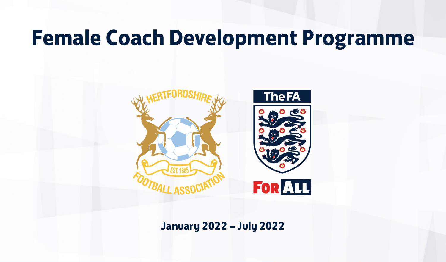## **Female Coach Development Programme**



**January 2022 – July 2022**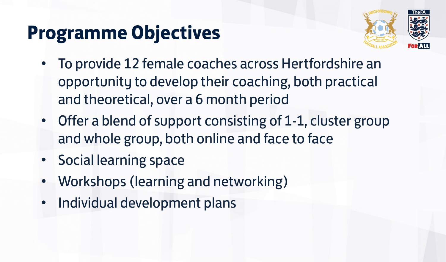#### **Programme Objectives**



- To provide 12 female coaches across Hertfordshire an opportunity to develop their coaching, both practical and theoretical, over a 6 month period
- Offer a blend of support consisting of 1-1, cluster group and whole group, both online and face to face
- Social learning space
- Workshops (learning and networking)
- Individual development plans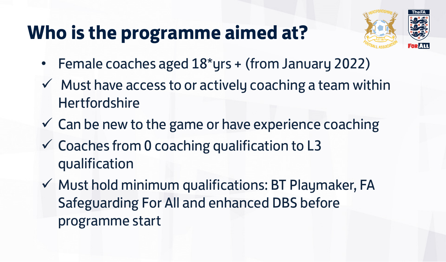### **Who is the programme aimed at?**



- Female coaches aged 18\*yrs + (from January 2022)
- $\checkmark$  Must have access to or actively coaching a team within **Hertfordshire**
- $\checkmark$  Can be new to the game or have experience coaching
- $\checkmark$  Coaches from 0 coaching qualification to L3 qualification
- $\checkmark$  Must hold minimum qualifications: BT Playmaker, FA Safeguarding For All and enhanced DBS before programme start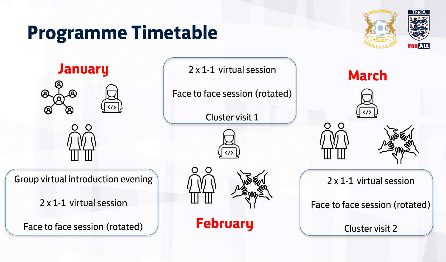#### **Programme Timetable**



**January March** 2x1-1 virtual session **March** 

Group virtual introduction evening

2 x 1-1 virtual session

Face to face session (rotated)

2 x 1-1 virtual session

Face to face session (rotated)

Cluster visit 1





**February**







2 x 1-1 virtual session

Face to face session (rotated)

Cluster visit 2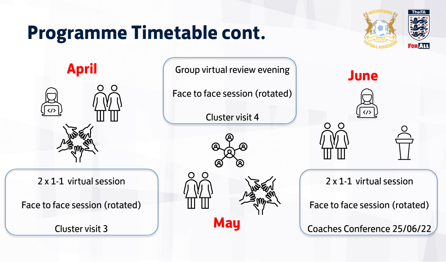#### **Programme Timetable cont.**





**April Strateger Computation Computer Computer Strategies and Strategies of the Strategies of Sune** 

Face to face session (rotated)

Cluster visit 4





**May**



2 x 1-1 virtual session

Face to face session (rotated)

Coaches Conference 25/06/22

2 x 1-1 virtual session

Face to face session (rotated)

Cluster visit 3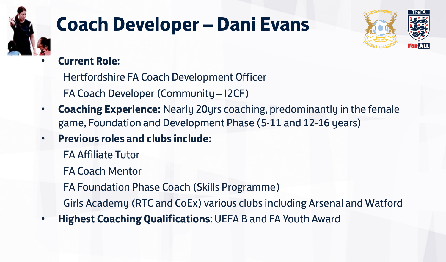

## **Coach Developer – Dani Evans**



• **Current Role:** 

Hertfordshire FA Coach Development Officer

FA Coach Developer (Community – I2CF)

- **Coaching Experience:** Nearly 20yrs coaching, predominantly in the female game, Foundation and Development Phase (5-11 and 12-16 years)
- **Previous roles and clubs include:** 
	- FA Affiliate Tutor
	- FA Coach Mentor

FA Foundation Phase Coach (Skills Programme)

Girls Academy (RTC and CoEx) various clubs including Arsenal and Watford

• **Highest Coaching Qualifications**: UEFA B and FA Youth Award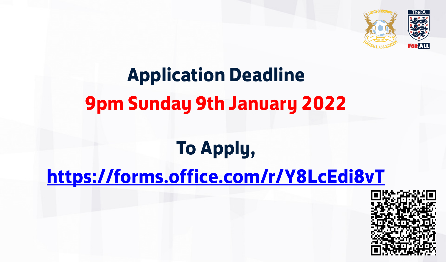

# **Application Deadline 9pm Sunday 9th January 2022**

## **To Apply,**

#### **<https://forms.office.com/r/Y8LcEdi8vT>**